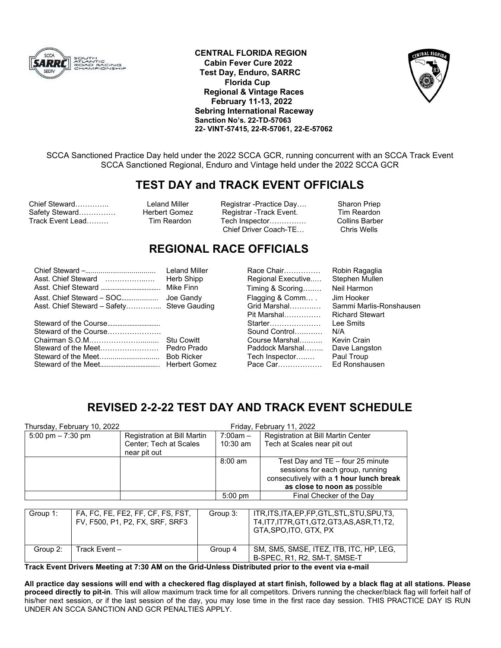

**CENTRAL FLORIDA REGION Cabin Fever Cure 2022 Test Day, Enduro, SARRC Florida Cup Regional & Vintage Races February 11-13, 2022 Sebring International Raceway Sanction No's. 22-TD-57063 22- VINT-57415, 22-R-57061, 22-E-57062** 



SCCA Sanctioned Practice Day held under the 2022 SCCA GCR, running concurrent with an SCCA Track Event SCCA Sanctioned Regional, Enduro and Vintage held under the 2022 SCCA GCR

# **TEST DAY and TRACK EVENT OFFICIALS**

Chief Steward………….. Leland Miller Registrar -Practice Day…. Sharon Priep Safety Steward…………… Herbert Gomez Registrar -Track Event. Tim Reardon<br>Track Event Lead……… Tim Reardon Tech Inspector…………… Collins Barber

Track Event Lead……… Tim Reardon Tech Inspector…………… Collins Barber Chief Driver Coach-TE...

## **REGIONAL RACE OFFICIALS**

| Asst. Chief Steward<br>Asst. Chief Steward – SOC | Lela<br>Her<br>Mik<br>Joe       |
|--------------------------------------------------|---------------------------------|
| Steward of the Course<br>Steward of the Meet     | Stu<br>Ped<br><b>Bob</b><br>Her |

Cowitt Iro Prado Ricker bert Gomez

Chief Steward –…................................ Leland Miller Race Chair…………… Robin Ragaglia Asst. Chief Steward ……………..…. Herb Shipp Regional Executive..… Stephen Mullen Asst. Chief Steward …………………………….. Mike Finn Timing & Scoring…..… Neil Harmon Gandy – Flagging & Comm… .<br>Ve Gauding – Grid Marshal………… Pit Marshal…………… Richard Stewart Starter………………… Sound Control……………… N/A Course Marshal…..….. Paddock Marshal…….. Tech Inspector…..… Pace Car………………

Sammi Marlis-Ronshausen<br>Richard Stewart Kevin Crain Dave Langston Paul Troup Ed Ronshausen

# **REVISED 2-2-22 TEST DAY AND TRACK EVENT SCHEDULE**

|                     | Thursday, February 10, 2022                                          | Friday, February 11, 2022              |          |                   |                                                                                                                          |  |
|---------------------|----------------------------------------------------------------------|----------------------------------------|----------|-------------------|--------------------------------------------------------------------------------------------------------------------------|--|
| 5:00 pm $- 7:30$ pm |                                                                      | Registration at Bill Martin            |          | $7:00am -$        | Registration at Bill Martin Center                                                                                       |  |
|                     |                                                                      | Center; Tech at Scales<br>near pit out |          | $10:30$ am        | Tech at Scales near pit out                                                                                              |  |
|                     |                                                                      |                                        |          | $8:00 \text{ am}$ | Test Day and TE - four 25 minute                                                                                         |  |
|                     |                                                                      |                                        |          |                   | sessions for each group, running<br>consecutively with a 1 hour lunch break                                              |  |
|                     |                                                                      |                                        |          |                   | as close to noon as possible                                                                                             |  |
|                     |                                                                      |                                        |          | $5:00$ pm         | Final Checker of the Dav                                                                                                 |  |
|                     |                                                                      |                                        |          |                   |                                                                                                                          |  |
| Group 1:            | FA, FC, FE, FE2, FF, CF, FS, FST,<br>FV, F500, P1, P2, FX, SRF, SRF3 |                                        | Group 3: |                   | ITR, ITS, ITA, EP, FP, GTL, STL, STU, SPU, T3,<br>T4, IT7, IT7R, GT1, GT2, GT3, AS, ASR, T1, T2,<br>GTA.SPO.ITO. GTX. PX |  |
| Group 2:            | Track Event-                                                         |                                        |          | Group 4           | SM, SM5, SMSE, ITEZ, ITB, ITC, HP, LEG,<br>B-SPEC, R1, R2, SM-T, SMSE-T                                                  |  |

**Track Event Drivers Meeting at 7:30 AM on the Grid-Unless Distributed prior to the event via e-mail** 

**All practice day sessions will end with a checkered flag displayed at start finish, followed by a black flag at all stations. Please proceed directly to pit-in**. This will allow maximum track time for all competitors. Drivers running the checker/black flag will forfeit half of his/her next session, or if the last session of the day, you may lose time in the first race day session. THIS PRACTICE DAY IS RUN UNDER AN SCCA SANCTION AND GCR PENALTIES APPLY.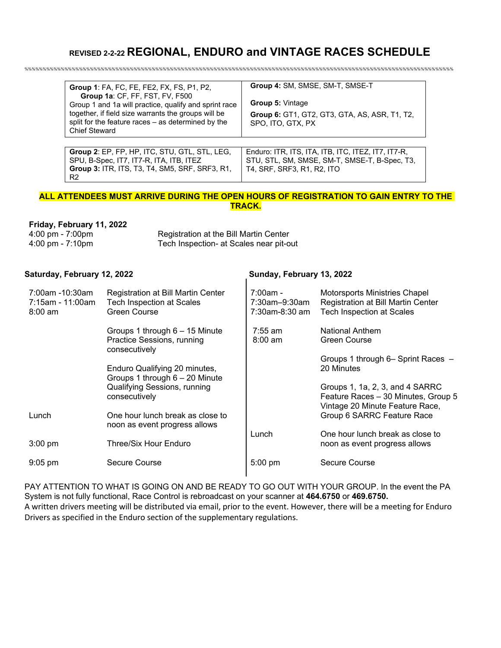# **REVISED 2-2-22 REGIONAL, ENDURO and VINTAGE RACES SCHEDULE**

%%%%%%%%%%%%%%%%%%%%%%%%%%%%%%%%%%%%%%%%%%%%%%%%%%%%%%%%%%%%%%%%%%%%%%%%%%%%%%%%%%%%%%%%%%%%%%%%%%%%%%%%%%%%%%%%%%%%%%

| Group 1: FA, FC, FE, FE2, FX, FS, P1, P2,<br>Group 1a: CF, FF, FST, FV, F500<br>Group 1 and 1a will practice, qualify and sprint race<br>together, if field size warrants the groups will be<br>split for the feature races – as determined by the<br><b>Chief Steward</b> | Group 4: SM, SMSE, SM-T, SMSE-T<br><b>Group 5: Vintage</b><br>Group 6: GT1, GT2, GT3, GTA, AS, ASR, T1, T2,<br>SPO, ITO, GTX, PX |
|----------------------------------------------------------------------------------------------------------------------------------------------------------------------------------------------------------------------------------------------------------------------------|----------------------------------------------------------------------------------------------------------------------------------|
| <b>Group 2: EP, FP, HP, ITC, STU, GTL, STL, LEG,</b>                                                                                                                                                                                                                       | Enduro: ITR, ITS, ITA, ITB, ITC, ITEZ, IT7, IT7-R,                                                                               |
| SPU, B-Spec, IT7, IT7-R, ITA, ITB, ITEZ                                                                                                                                                                                                                                    | STU, STL, SM, SMSE, SM-T, SMSE-T, B-Spec, T3,                                                                                    |
| <b>Group 3: ITR, ITS, T3, T4, SM5, SRF, SRF3, R1,</b>                                                                                                                                                                                                                      | T4, SRF, SRF3, R1, R2, ITO                                                                                                       |

## **ALL ATTENDEES MUST ARRIVE DURING THE OPEN HOURS OF REGISTRATION TO GAIN ENTRY TO THE TRACK.**

## **Friday, February 11, 2022**

R2

| 4:00 pm - 7:00pm                   | Registration at the Bill Martin Center  |
|------------------------------------|-----------------------------------------|
| $4:00 \text{ pm} - 7:10 \text{pm}$ | Tech Inspection- at Scales near pit-out |

## Saturday, February 12, 2022 **Saturday, February 13, 2022**

| 7:00am -10:30am<br>7:15am - 11:00am<br>$8:00 \text{ am}$ | Registration at Bill Martin Center<br><b>Tech Inspection at Scales</b><br>Green Course | $7:00am -$<br>7:30am-9:30am<br>7:30am-8:30 am | Motorsports Ministries Chapel<br>Registration at Bill Martin Center<br><b>Tech Inspection at Scales</b>   |
|----------------------------------------------------------|----------------------------------------------------------------------------------------|-----------------------------------------------|-----------------------------------------------------------------------------------------------------------|
|                                                          | Groups 1 through 6 - 15 Minute<br>Practice Sessions, running<br>consecutively          | $7:55$ am<br>$8:00 \text{ am}$                | <b>National Anthem</b><br>Green Course                                                                    |
|                                                          | Enduro Qualifying 20 minutes,<br>Groups 1 through 6 - 20 Minute                        |                                               | Groups 1 through 6- Sprint Races -<br>20 Minutes                                                          |
|                                                          | <b>Qualifying Sessions, running</b><br>consecutively                                   |                                               | Groups 1, 1a, 2, 3, and 4 SARRC<br>Feature Races - 30 Minutes, Group 5<br>Vintage 20 Minute Feature Race, |
| Lunch                                                    | One hour lunch break as close to<br>noon as event progress allows                      |                                               | Group 6 SARRC Feature Race                                                                                |
| $3:00 \text{ pm}$                                        | Three/Six Hour Enduro                                                                  | Lunch                                         | One hour lunch break as close to<br>noon as event progress allows                                         |
| $9:05$ pm                                                | Secure Course                                                                          | $5:00$ pm                                     | Secure Course                                                                                             |

PAY ATTENTION TO WHAT IS GOING ON AND BE READY TO GO OUT WITH YOUR GROUP. In the event the PA System is not fully functional, Race Control is rebroadcast on your scanner at **464.6750** or **469.6750.** A written drivers meeting will be distributed via email, prior to the event. However, there will be a meeting for Enduro Drivers as specified in the Enduro section of the supplementary regulations.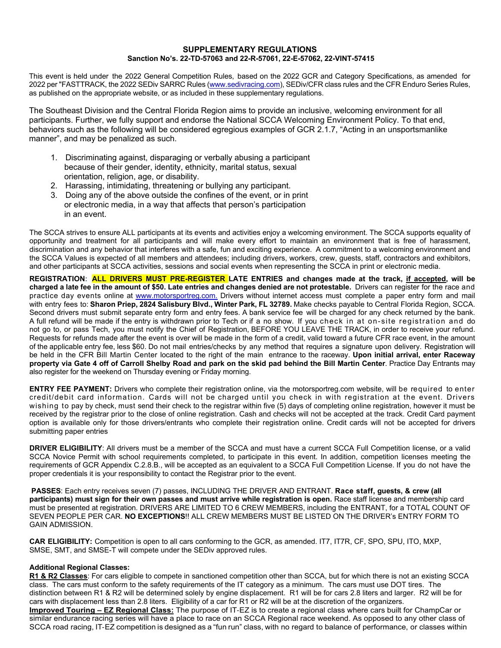### **SUPPLEMENTARY REGULATIONS Sanction No's. 22-TD-57063 and 22-R-57061, 22-E-57062, 22-VINT-57415**

This event is held under the 2022 General Competition Rules, based on the 2022 GCR and Category Specifications, as amended for 2022 per "FASTTRACK, the 2022 SEDiv SARRC Rules (www.sedivracing.com), SEDiv/CFR class rules and the CFR Enduro Series Rules, as published on the appropriate website, or as included in these supplementary regulations.

The Southeast Division and the Central Florida Region aims to provide an inclusive, welcoming environment for all participants. Further, we fully support and endorse the National SCCA Welcoming Environment Policy. To that end, behaviors such as the following will be considered egregious examples of GCR 2.1.7, "Acting in an unsportsmanlike manner", and may be penalized as such.

- 1. Discriminating against, disparaging or verbally abusing a participant because of their gender, identity, ethnicity, marital status, sexual orientation, religion, age, or disability.
- 2. Harassing, intimidating, threatening or bullying any participant.
- 3. Doing any of the above outside the confines of the event, or in print or electronic media, in a way that affects that person's participation in an event.

The SCCA strives to ensure ALL participants at its events and activities enjoy a welcoming environment. The SCCA supports equality of opportunity and treatment for all participants and will make every effort to maintain an environment that is free of harassment, discrimination and any behavior that interferes with a safe, fun and exciting experience. A commitment to a welcoming environment and the SCCA Values is expected of all members and attendees; including drivers, workers, crew, guests, staff, contractors and exhibitors, and other participants at SCCA activities, sessions and social events when representing the SCCA in print or electronic media.

**REGISTRATION: ALL DRIVERS MUST PRE-REGISTER LATE ENTRIES and changes made at the track, if accepted, will be charged a late fee in the amount of \$50. Late entries and changes denied are not protestable.** Drivers can register for the race and practice day events online at www.motorsportreg.com. Drivers without internet access must complete a paper entry form and mail with entry fees to: **Sharon Priep, 2824 Salisbury Blvd., Winter Park, FL 32789.** Make checks payable to Central Florida Region, SCCA. Second drivers must submit separate entry form and entry fees. A bank service fee will be charged for any check returned by the bank. A full refund will be made if the entry is withdrawn prior to Tech or if a no show. If you check in at on-site registration and do not go to, or pass Tech, you must notify the Chief of Registration, BEFORE YOU LEAVE THE TRACK, in order to receive your refund. Requests for refunds made after the event is over will be made in the form of a credit, valid toward a future CFR race event, in the amount of the applicable entry fee, less \$60. Do not mail entries/checks by any method that requires a signature upon delivery. Registration will be held in the CFR Bill Martin Center located to the right of the main entrance to the raceway. **Upon initial arrival, enter Raceway property via Gate 4 off of Carroll Shelby Road and park on the skid pad behind the Bill Martin Center**. Practice Day Entrants may also register for the weekend on Thursday evening or Friday morning.

**ENTRY FEE PAYMENT:** Drivers who complete their registration online, via the motorsportreg.com website, will be required to enter credit/debit card information. Cards will not be charged until you check in with registration at the event. Drivers wishing to pay by check, must send their check to the registrar within five (5) days of completing online registration, however it must be received by the registrar prior to the close of online registration. Cash and checks will not be accepted at the track. Credit Card payment option is available only for those drivers/entrants who complete their registration online. Credit cards will not be accepted for drivers submitting paper entries

**DRIVER ELIGIBILITY**: All drivers must be a member of the SCCA and must have a current SCCA Full Competition license, or a valid SCCA Novice Permit with school requirements completed, to participate in this event. In addition, competition licenses meeting the requirements of GCR Appendix C.2.8.B., will be accepted as an equivalent to a SCCA Full Competition License. If you do not have the proper credentials it is your responsibility to contact the Registrar prior to the event.

 **PASSES**: Each entry receives seven (7) passes, INCLUDING THE DRIVER AND ENTRANT. **Race staff, guests, & crew (all participants) must sign for their own passes and must arrive while registration is open.** Race staff license and membership card must be presented at registration. DRIVERS ARE LIMITED TO 6 CREW MEMBERS, including the ENTRANT, for a TOTAL COUNT OF SEVEN PEOPLE PER CAR. **NO EXCEPTIONS**!! ALL CREW MEMBERS MUST BE LISTED ON THE DRIVER's ENTRY FORM TO GAIN ADMISSION.

**CAR ELIGIBILITY:** Competition is open to all cars conforming to the GCR, as amended. IT7, IT7R, CF, SPO, SPU, ITO, MXP, SMSE, SMT, and SMSE-T will compete under the SEDiv approved rules.

### **Additional Regional Classes:**

**R1 & R2 Classes**: For cars eligible to compete in sanctioned competition other than SCCA, but for which there is not an existing SCCA class. The cars must conform to the safety requirements of the IT category as a minimum. The cars must use DOT tires. The distinction between R1 & R2 will be determined solely by engine displacement. R1 will be for cars 2.8 liters and larger. R2 will be for cars with displacement less than 2.8 liters. Eligibility of a car for R1 or R2 will be at the discretion of the organizers. **Improved Touring – EZ Regional Class:** The purpose of IT-EZ is to create a regional class where cars built for ChampCar or similar endurance racing series will have a place to race on an SCCA Regional race weekend. As opposed to any other class of SCCA road racing, IT-EZ competition is designed as a "fun run" class, with no regard to balance of performance, or classes within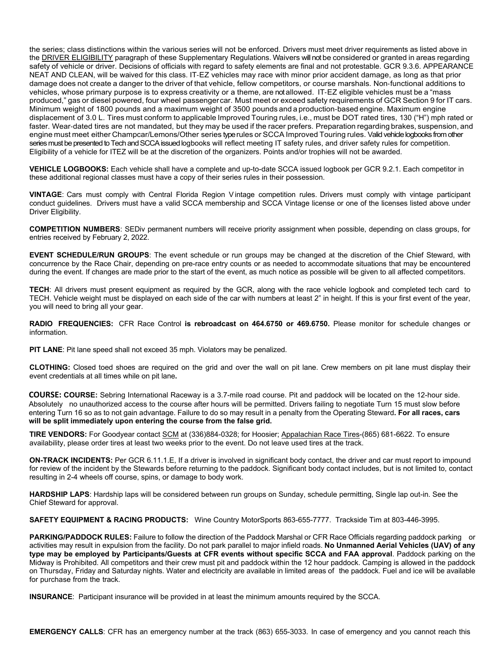the series; class distinctions within the various series will not be enforced. Drivers must meet driver requirements as listed above in the **DRIVER ELIGIBILITY** paragraph of these Supplementary Regulations. Waivers will not be considered or granted in areas regarding safety of vehicle or driver. Decisions of officials with regard to safety elements are final and not protestable. GCR 9.3.6. APPEARANCE NEAT AND CLEAN, will be waived for this class. IT-EZ vehicles may race with minor prior accident damage, as long as that prior damage does not create a danger to the driver of that vehicle, fellow competitors, or course marshals. Non-functional additions to vehicles, whose primary purpose is to express creativity or a theme, are not allowed. IT-EZ eligible vehicles must be a "mass produced," gas or diesel powered, four wheel passenger car. Must meet or exceed safety requirements of GCR Section 9 for IT cars. Minimum weight of 1800 pounds and a maximum weight of 3500 pounds and a production-based engine. Maximum engine displacement of 3.0 L. Tires must conform to applicable Improved Touring rules, i.e., must be DOT rated tires, 130 ("H") mph rated or faster. Wear-dated tires are not mandated, but they may be used if the racer prefers. Preparation regarding brakes, suspension, and engine must meet either Champcar/Lemons/Other series type rules or SCCA Improved Touring rules. Valid vehicle logbooks from other series must be presented to Tech and SCCA issued logbooks will reflect meeting IT safety rules, and driver safety rules for competition. Eligibility of a vehicle for ITEZ will be at the discretion of the organizers. Points and/or trophies will not be awarded.

**VEHICLE LOGBOOKS:** Each vehicle shall have a complete and up-to-date SCCA issued logbook per GCR 9.2.1. Each competitor in these additional regional classes must have a copy of their series rules in their possession.

**VINTAGE**: Cars must comply with Central Florida Region V intage competition rules. Drivers must comply with vintage participant conduct guidelines. Drivers must have a valid SCCA membership and SCCA Vintage license or one of the licenses listed above under Driver Eligibility.

**COMPETITION NUMBERS**: SEDiv permanent numbers will receive priority assignment when possible, depending on class groups, for entries received by February 2, 2022.

**EVENT SCHEDULE/RUN GROUPS**: The event schedule or run groups may be changed at the discretion of the Chief Steward, with concurrence by the Race Chair, depending on pre-race entry counts or as needed to accommodate situations that may be encountered during the event. If changes are made prior to the start of the event, as much notice as possible will be given to all affected competitors.

**TECH**: All drivers must present equipment as required by the GCR, along with the race vehicle logbook and completed tech card to TECH. Vehicle weight must be displayed on each side of the car with numbers at least 2" in height. If this is your first event of the year, you will need to bring all your gear.

**RADIO FREQUENCIES:** CFR Race Control **is rebroadcast on 464.6750 or 469.6750.** Please monitor for schedule changes or information.

**PIT LANE**: Pit lane speed shall not exceed 35 mph. Violators may be penalized.

**CLOTHING:** Closed toed shoes are required on the grid and over the wall on pit lane. Crew members on pit lane must display their event credentials at all times while on pit lane**.**

**COURSE: COURSE:** Sebring International Raceway is a 3.7-mile road course. Pit and paddock will be located on the 12-hour side. Absolutely no unauthorized access to the course after hours will be permitted. Drivers failing to negotiate Turn 15 must slow before entering Turn 16 so as to not gain advantage. Failure to do so may result in a penalty from the Operating Steward**. For all races, cars will be split immediately upon entering the course from the false grid.** 

**TIRE VENDORS:** For Goodyear contact SCM at (336)884-0328; for Hoosier; Appalachian Race Tires-(865) 681-6622. To ensure availability, please order tires at least two weeks prior to the event. Do not leave used tires at the track.

**ON-TRACK INCIDENTS:** Per GCR 6.11.1.E, If a driver is involved in significant body contact, the driver and car must report to impound for review of the incident by the Stewards before returning to the paddock. Significant body contact includes, but is not limited to, contact resulting in 2-4 wheels off course, spins, or damage to body work.

**HARDSHIP LAPS**: Hardship laps will be considered between run groups on Sunday, schedule permitting, Single lap out-in. See the Chief Steward for approval.

**SAFETY EQUIPMENT & RACING PRODUCTS:** Wine Country MotorSports 863-655-7777. Trackside Tim at 803-446-3995.

**PARKING/PADDOCK RULES:** Failure to follow the direction of the Paddock Marshal or CFR Race Officials regarding paddock parking or activities may result in expulsion from the facility. Do not park parallel to major infield roads. **No Unmanned Aerial Vehicles (UAV) of any type may be employed by Participants/Guests at CFR events without specific SCCA and FAA approval**. Paddock parking on the Midway is Prohibited. All competitors and their crew must pit and paddock within the 12 hour paddock. Camping is allowed in the paddock on Thursday, Friday and Saturday nights. Water and electricity are available in limited areas of the paddock. Fuel and ice will be available for purchase from the track.

**INSURANCE**: Participant insurance will be provided in at least the minimum amounts required by the SCCA.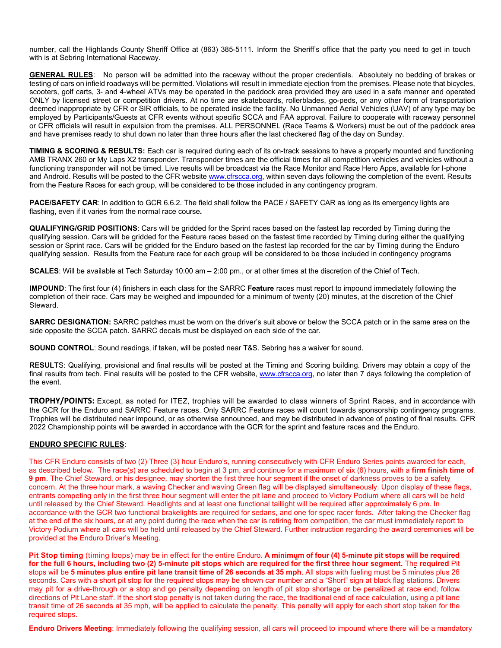number, call the Highlands County Sheriff Office at (863) 385-5111. Inform the Sheriff's office that the party you need to get in touch with is at Sebring International Raceway.

**GENERAL RULES**: No person will be admitted into the raceway without the proper credentials. Absolutely no bedding of brakes or testing of cars on infield roadways will be permitted. Violations will result in immediate ejection from the premises. Please note that bicycles, scooters, golf carts, 3- and 4-wheel ATVs may be operated in the paddock area provided they are used in a safe manner and operated ONLY by licensed street or competition drivers. At no time are skateboards, rollerblades, go-peds, or any other form of transportation deemed inappropriate by CFR or SIR officials, to be operated inside the facility. No Unmanned Aerial Vehicles (UAV) of any type may be employed by Participants/Guests at CFR events without specific SCCA and FAA approval. Failure to cooperate with raceway personnel or CFR officials will result in expulsion from the premises. ALL PERSONNEL (Race Teams & Workers) must be out of the paddock area and have premises ready to shut down no later than three hours after the last checkered flag of the day on Sunday.

**TIMING & SCORING & RESULTS:** Each car is required during each of its on-track sessions to have a properly mounted and functioning AMB TRANX 260 or My Laps X2 transponder. Transponder times are the official times for all competition vehicles and vehicles without a functioning transponder will not be timed. Live results will be broadcast via the Race Monitor and Race Hero Apps, available for I-phone and Android. Results will be posted to the CFR website www.cfrscca.org, within seven days following the completion of the event. Results from the Feature Races for each group, will be considered to be those included in any contingency program.

**PACE/SAFETY CAR**: In addition to GCR 6.6.2. The field shall follow the PACE / SAFETY CAR as long as its emergency lights are flashing, even if it varies from the normal race course**.**

**QUALIFYING/GRID POSITIONS**: Cars will be gridded for the Sprint races based on the fastest lap recorded by Timing during the qualifying session. Cars will be gridded for the Feature races based on the fastest time recorded by Timing during either the qualifying session or Sprint race. Cars will be gridded for the Enduro based on the fastest lap recorded for the car by Timing during the Enduro qualifying session. Results from the Feature race for each group will be considered to be those included in contingency programs

**SCALES**: Will be available at Tech Saturday 10:00 am – 2:00 pm., or at other times at the discretion of the Chief of Tech.

**IMPOUND**: The first four (4) finishers in each class for the SARRC **Feature** races must report to impound immediately following the completion of their race. Cars may be weighed and impounded for a minimum of twenty (20) minutes, at the discretion of the Chief Steward.

**SARRC DESIGNATION:** SARRC patches must be worn on the driver's suit above or below the SCCA patch or in the same area on the side opposite the SCCA patch. SARRC decals must be displayed on each side of the car.

**SOUND CONTROL**: Sound readings, if taken, will be posted near T&S. Sebring has a waiver for sound.

**RESULT**S: Qualifying, provisional and final results will be posted at the Timing and Scoring building. Drivers may obtain a copy of the final results from tech. Final results will be posted to the CFR website, www.cfrscca.org, no later than 7 days following the completion of the event.

**TROPHY/POINTS:** Except, as noted for ITEZ, trophies will be awarded to class winners of Sprint Races, and in accordance with the GCR for the Enduro and SARRC Feature races. Only SARRC Feature races will count towards sponsorship contingency programs. Trophies will be distributed near impound, or as otherwise announced, and may be distributed in advance of posting of final results. CFR 2022 Championship points will be awarded in accordance with the GCR for the sprint and feature races and the Enduro.

### **ENDURO SPECIFIC RULES**:

This CFR Enduro consists of two (2) Three (3) hour Enduro's, running consecutively with CFR Enduro Series points awarded for each, as described below. The race(s) are scheduled to begin at 3 pm, and continue for a maximum of six (6) hours, with a **firm finish time of 9 pm**. The Chief Steward, or his designee, may shorten the first three hour segment if the onset of darkness proves to be a safety concern. At the three hour mark, a waving Checker and waving Green flag will be displayed simultaneously. Upon display of these flags, entrants competing only in the first three hour segment will enter the pit lane and proceed to Victory Podium where all cars will be held until released by the Chief Steward. Headlights and at least one functional taillight will be required after approximately 6 pm. In accordance with the GCR two functional brakelights are required for sedans, and one for spec racer fords. After taking the Checker flag at the end of the six hours, or at any point during the race when the car is retiring from competition, the car must immediately report to Victory Podium where all cars will be held until released by the Chief Steward. Further instruction regarding the award ceremonies will be provided at the Enduro Driver's Meeting.

**Pit Stop timing** (timing loops) may be in effect for the entire Enduro. **A minimum of four (4) 5-minute pit stops will be required for the full 6 hours, including two (2) 5-minute pit stops which are required for the first three hour segment.** The **required** Pit stops will be **5 minutes plus entire pit lane transit time of 26 seconds at 35 mph**. All stops with fueling must be 5 minutes plus 26 seconds. Cars with a short pit stop for the required stops may be shown car number and a "Short" sign at black flag stations. Drivers may pit for a drive-through or a stop and go penalty depending on length of pit stop shortage or be penalized at race end; follow directions of Pit Lane staff. If the short stop penalty is not taken during the race, the traditional end of race calculation, using a pit lane transit time of 26 seconds at 35 mph, will be applied to calculate the penalty. This penalty will apply for each short stop taken for the required stops.

**Enduro Drivers Meeting**: Immediately following the qualifying session, all cars will proceed to impound where there will be a mandatory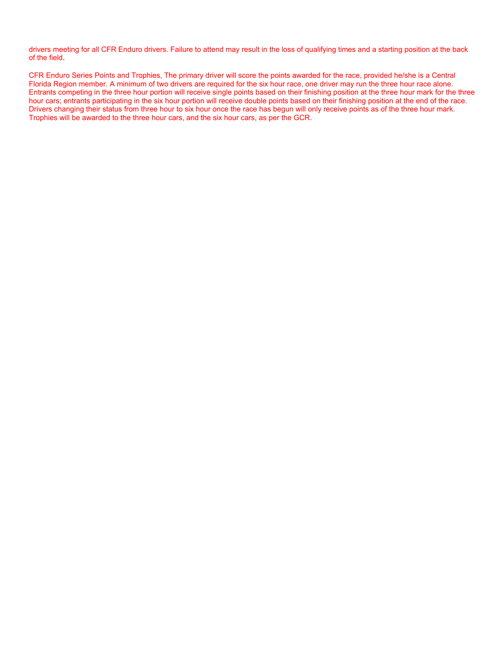drivers meeting for all CFR Enduro drivers. Failure to attend may result in the loss of qualifying times and a starting position at the back of the field.

CFR Enduro Series Points and Trophies, The primary driver will score the points awarded for the race, provided he/she is a Central Florida Region member. A minimum of two drivers are required for the six hour race, one driver may run the three hour race alone. Entrants competing in the three hour portion will receive single points based on their finishing position at the three hour mark for the three hour cars; entrants participating in the six hour portion will receive double points based on their finishing position at the end of the race. Drivers changing their status from three hour to six hour once the race has begun will only receive points as of the three hour mark. Trophies will be awarded to the three hour cars, and the six hour cars, as per the GCR.